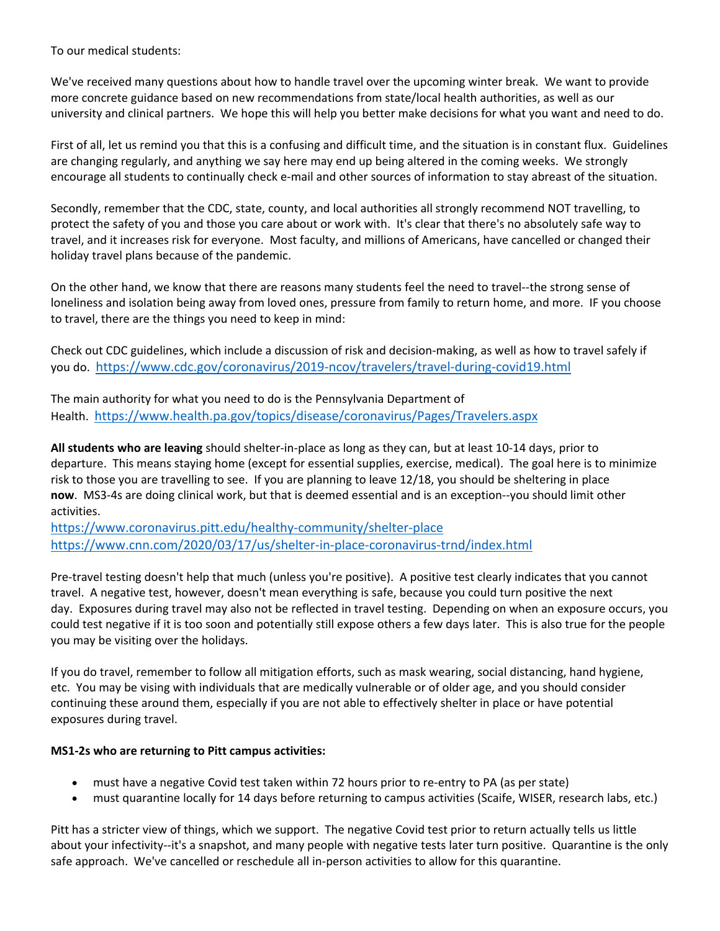To our medical students:

We've received many questions about how to handle travel over the upcoming winter break. We want to provide more concrete guidance based on new recommendations from state/local health authorities, as well as our university and clinical partners. We hope this will help you better make decisions for what you want and need to do.

First of all, let us remind you that this is a confusing and difficult time, and the situation is in constant flux. Guidelines are changing regularly, and anything we say here may end up being altered in the coming weeks. We strongly encourage all students to continually check e‐mail and other sources of information to stay abreast of the situation.

Secondly, remember that the CDC, state, county, and local authorities all strongly recommend NOT travelling, to protect the safety of you and those you care about or work with. It's clear that there's no absolutely safe way to travel, and it increases risk for everyone. Most faculty, and millions of Americans, have cancelled or changed their holiday travel plans because of the pandemic.

On the other hand, we know that there are reasons many students feel the need to travel‐‐the strong sense of loneliness and isolation being away from loved ones, pressure from family to return home, and more. IF you choose to travel, there are the things you need to keep in mind:

Check out CDC guidelines, which include a discussion of risk and decision‐making, as well as how to travel safely if you do. https://www.cdc.gov/coronavirus/2019‐ncov/travelers/travel‐during‐covid19.html

The main authority for what you need to do is the Pennsylvania Department of Health. https://www.health.pa.gov/topics/disease/coronavirus/Pages/Travelers.aspx

**All students who are leaving** should shelter‐in‐place as long as they can, but at least 10‐14 days, prior to departure. This means staying home (except for essential supplies, exercise, medical). The goal here is to minimize risk to those you are travelling to see. If you are planning to leave 12/18, you should be sheltering in place **now**. MS3‐4s are doing clinical work, but that is deemed essential and is an exception‐‐you should limit other activities.

https://www.coronavirus.pitt.edu/healthy‐community/shelter‐place https://www.cnn.com/2020/03/17/us/shelter‐in‐place‐coronavirus‐trnd/index.html

Pre‐travel testing doesn't help that much (unless you're positive). A positive test clearly indicates that you cannot travel. A negative test, however, doesn't mean everything is safe, because you could turn positive the next day. Exposures during travel may also not be reflected in travel testing. Depending on when an exposure occurs, you could test negative if it is too soon and potentially still expose others a few days later. This is also true for the people you may be visiting over the holidays.

If you do travel, remember to follow all mitigation efforts, such as mask wearing, social distancing, hand hygiene, etc. You may be vising with individuals that are medically vulnerable or of older age, and you should consider continuing these around them, especially if you are not able to effectively shelter in place or have potential exposures during travel.

## **MS1‐2s who are returning to Pitt campus activities:**

- must have a negative Covid test taken within 72 hours prior to re-entry to PA (as per state)
- must quarantine locally for 14 days before returning to campus activities (Scaife, WISER, research labs, etc.)

Pitt has a stricter view of things, which we support. The negative Covid test prior to return actually tells us little about your infectivity--it's a snapshot, and many people with negative tests later turn positive. Quarantine is the only safe approach. We've cancelled or reschedule all in‐person activities to allow for this quarantine.